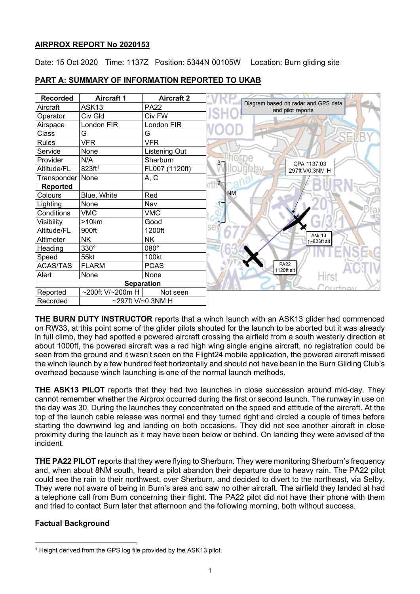## **AIRPROX REPORT No 2020153**

Date: 15 Oct 2020 Time: 1137Z Position: 5344N 00105W Location: Burn gliding site



## **PART A: SUMMARY OF INFORMATION REPORTED TO UKAB**

**THE BURN DUTY INSTRUCTOR** reports that a winch launch with an ASK13 glider had commenced on RW33, at this point some of the glider pilots shouted for the launch to be aborted but it was already in full climb, they had spotted a powered aircraft crossing the airfield from a south westerly direction at about 1000ft, the powered aircraft was a red high wing single engine aircraft, no registration could be seen from the ground and it wasn't seen on the Flight24 mobile application, the powered aircraft missed the winch launch by a few hundred feet horizontally and should not have been in the Burn Gliding Club's overhead because winch launching is one of the normal launch methods.

**THE ASK13 PILOT** reports that they had two launches in close succession around mid-day. They cannot remember whether the Airprox occurred during the first or second launch. The runway in use on the day was 30. During the launches they concentrated on the speed and attitude of the aircraft. At the top of the launch cable release was normal and they turned right and circled a couple of times before starting the downwind leg and landing on both occasions. They did not see another aircraft in close proximity during the launch as it may have been below or behind. On landing they were advised of the incident.

**THE PA22 PILOT** reports that they were flying to Sherburn. They were monitoring Sherburn's frequency and, when about 8NM south, heard a pilot abandon their departure due to heavy rain. The PA22 pilot could see the rain to their northwest, over Sherburn, and decided to divert to the northeast, via Selby. They were not aware of being in Burn's area and saw no other aircraft. The airfield they landed at had a telephone call from Burn concerning their flight. The PA22 pilot did not have their phone with them and tried to contact Burn later that afternoon and the following morning, both without success.

# **Factual Background**

<span id="page-0-0"></span><sup>&</sup>lt;sup>1</sup> Height derived from the GPS log file provided by the ASK13 pilot.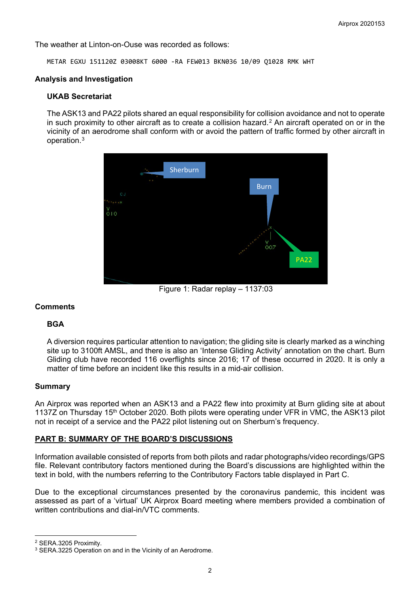The weather at Linton-on-Ouse was recorded as follows:

METAR EGXU 151120Z 03008KT 6000 -RA FEW013 BKN036 10/09 Q1028 RMK WHT

#### **Analysis and Investigation**

#### **UKAB Secretariat**

The ASK13 and PA22 pilots shared an equal responsibility for collision avoidance and not to operate in such proximity to other aircraft as to create a collision hazard.[2](#page-1-0) An aircraft operated on or in the vicinity of an aerodrome shall conform with or avoid the pattern of traffic formed by other aircraft in operation.[3](#page-1-1)



Figure 1: Radar replay – 1137:03

## **Comments**

## **BGA**

A diversion requires particular attention to navigation; the gliding site is clearly marked as a winching site up to 3100ft AMSL, and there is also an 'Intense Gliding Activity' annotation on the chart. Burn Gliding club have recorded 116 overflights since 2016; 17 of these occurred in 2020. It is only a matter of time before an incident like this results in a mid-air collision.

#### **Summary**

An Airprox was reported when an ASK13 and a PA22 flew into proximity at Burn gliding site at about 1137Z on Thursday 15<sup>th</sup> October 2020. Both pilots were operating under VFR in VMC, the ASK13 pilot not in receipt of a service and the PA22 pilot listening out on Sherburn's frequency.

## **PART B: SUMMARY OF THE BOARD'S DISCUSSIONS**

Information available consisted of reports from both pilots and radar photographs/video recordings/GPS file. Relevant contributory factors mentioned during the Board's discussions are highlighted within the text in bold, with the numbers referring to the Contributory Factors table displayed in Part C.

Due to the exceptional circumstances presented by the coronavirus pandemic, this incident was assessed as part of a 'virtual' UK Airprox Board meeting where members provided a combination of written contributions and dial-in/VTC comments.

<span id="page-1-0"></span><sup>2</sup> SERA.3205 Proximity.

<span id="page-1-1"></span><sup>3</sup> SERA.3225 Operation on and in the Vicinity of an Aerodrome.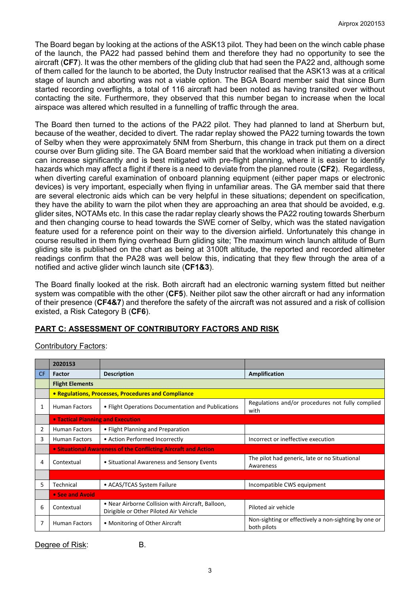The Board began by looking at the actions of the ASK13 pilot. They had been on the winch cable phase of the launch, the PA22 had passed behind them and therefore they had no opportunity to see the aircraft (**CF7**). It was the other members of the gliding club that had seen the PA22 and, although some of them called for the launch to be aborted, the Duty Instructor realised that the ASK13 was at a critical stage of launch and aborting was not a viable option. The BGA Board member said that since Burn started recording overflights, a total of 116 aircraft had been noted as having transited over without contacting the site. Furthermore, they observed that this number began to increase when the local airspace was altered which resulted in a funnelling of traffic through the area.

The Board then turned to the actions of the PA22 pilot. They had planned to land at Sherburn but, because of the weather, decided to divert. The radar replay showed the PA22 turning towards the town of Selby when they were approximately 5NM from Sherburn, this change in track put them on a direct course over Burn gliding site. The GA Board member said that the workload when initiating a diversion can increase significantly and is best mitigated with pre-flight planning, where it is easier to identify hazards which may affect a flight if there is a need to deviate from the planned route (**CF2**). Regardless, when diverting careful examination of onboard planning equipment (either paper maps or electronic devices) is very important, especially when flying in unfamiliar areas. The GA member said that there are several electronic aids which can be very helpful in these situations; dependent on specification, they have the ability to warn the pilot when they are approaching an area that should be avoided, e.g. glider sites, NOTAMs etc. In this case the radar replay clearly shows the PA22 routing towards Sherburn and then changing course to head towards the SWE corner of Selby, which was the stated navigation feature used for a reference point on their way to the diversion airfield. Unfortunately this change in course resulted in them flying overhead Burn gliding site; The maximum winch launch altitude of Burn gliding site is published on the chart as being at 3100ft altitude, the reported and recorded altimeter readings confirm that the PA28 was well below this, indicating that they flew through the area of a notified and active glider winch launch site (**CF1&3**).

The Board finally looked at the risk. Both aircraft had an electronic warning system fitted but neither system was compatible with the other (**CF5**). Neither pilot saw the other aircraft or had any information of their presence (**CF4&7**) and therefore the safety of the aircraft was not assured and a risk of collision existed, a Risk Category B (**CF6**).

# **PART C: ASSESSMENT OF CONTRIBUTORY FACTORS AND RISK**

Contributory Factors:

|           | 2020153                                                        |                                                                                             |                                                                     |
|-----------|----------------------------------------------------------------|---------------------------------------------------------------------------------------------|---------------------------------------------------------------------|
| <b>CF</b> | Factor                                                         | <b>Description</b>                                                                          | Amplification                                                       |
|           | <b>Flight Elements</b>                                         |                                                                                             |                                                                     |
|           | • Regulations, Processes, Procedures and Compliance            |                                                                                             |                                                                     |
| 1         | <b>Human Factors</b>                                           | • Flight Operations Documentation and Publications                                          | Regulations and/or procedures not fully complied<br>with            |
|           | • Tactical Planning and Execution                              |                                                                                             |                                                                     |
| 2         | <b>Human Factors</b>                                           | • Flight Planning and Preparation                                                           |                                                                     |
| 3         | <b>Human Factors</b>                                           | • Action Performed Incorrectly                                                              | Incorrect or ineffective execution                                  |
|           | • Situational Awareness of the Conflicting Aircraft and Action |                                                                                             |                                                                     |
| 4         | Contextual                                                     | • Situational Awareness and Sensory Events                                                  | The pilot had generic, late or no Situational<br>Awareness          |
|           |                                                                |                                                                                             |                                                                     |
| 5         | Technical                                                      | • ACAS/TCAS System Failure                                                                  | Incompatible CWS equipment                                          |
|           | • See and Avoid                                                |                                                                                             |                                                                     |
| 6         | Contextual                                                     | • Near Airborne Collision with Aircraft, Balloon,<br>Dirigible or Other Piloted Air Vehicle | Piloted air vehicle                                                 |
|           | <b>Human Factors</b>                                           | • Monitoring of Other Aircraft                                                              | Non-sighting or effectively a non-sighting by one or<br>both pilots |

Degree of Risk: B.